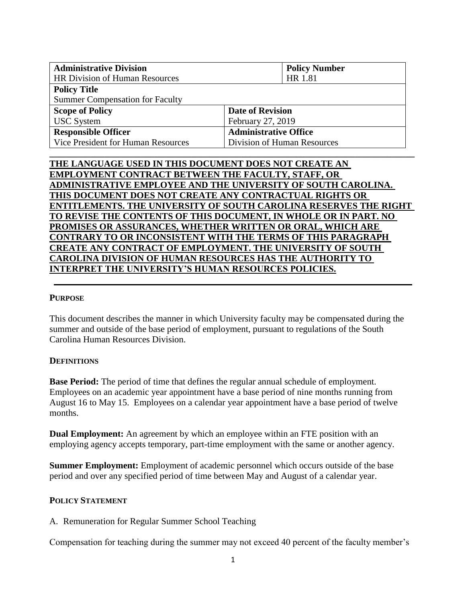| <b>Administrative Division</b>         | <b>Policy Number</b>         |
|----------------------------------------|------------------------------|
| <b>HR Division of Human Resources</b>  | HR 1.81                      |
| <b>Policy Title</b>                    |                              |
| <b>Summer Compensation for Faculty</b> |                              |
| <b>Scope of Policy</b>                 | <b>Date of Revision</b>      |
| <b>USC</b> System                      | February 27, 2019            |
| <b>Responsible Officer</b>             | <b>Administrative Office</b> |
| Vice President for Human Resources     | Division of Human Resources  |
|                                        |                              |

# **THE LANGUAGE USED IN THIS DOCUMENT DOES NOT CREATE AN EMPLOYMENT CONTRACT BETWEEN THE FACULTY, STAFF, OR ADMINISTRATIVE EMPLOYEE AND THE UNIVERSITY OF SOUTH CAROLINA. THIS DOCUMENT DOES NOT CREATE ANY CONTRACTUAL RIGHTS OR ENTITLEMENTS. THE UNIVERSITY OF SOUTH CAROLINA RESERVES THE RIGHT TO REVISE THE CONTENTS OF THIS DOCUMENT, IN WHOLE OR IN PART. NO PROMISES OR ASSURANCES, WHETHER WRITTEN OR ORAL, WHICH ARE CONTRARY TO OR INCONSISTENT WITH THE TERMS OF THIS PARAGRAPH CREATE ANY CONTRACT OF EMPLOYMENT. THE UNIVERSITY OF SOUTH CAROLINA DIVISION OF HUMAN RESOURCES HAS THE AUTHORITY TO INTERPRET THE UNIVERSITY'S HUMAN RESOURCES POLICIES.**

## **PURPOSE**

This document describes the manner in which University faculty may be compensated during the summer and outside of the base period of employment, pursuant to regulations of the South Carolina Human Resources Division.

## **DEFINITIONS**

**Base Period:** The period of time that defines the regular annual schedule of employment. Employees on an academic year appointment have a base period of nine months running from August 16 to May 15. Employees on a calendar year appointment have a base period of twelve months.

**Dual Employment:** An agreement by which an employee within an FTE position with an employing agency accepts temporary, part-time employment with the same or another agency.

**Summer Employment:** Employment of academic personnel which occurs outside of the base period and over any specified period of time between May and August of a calendar year.

## **POLICY STATEMENT**

A. Remuneration for Regular Summer School Teaching

Compensation for teaching during the summer may not exceed 40 percent of the faculty member's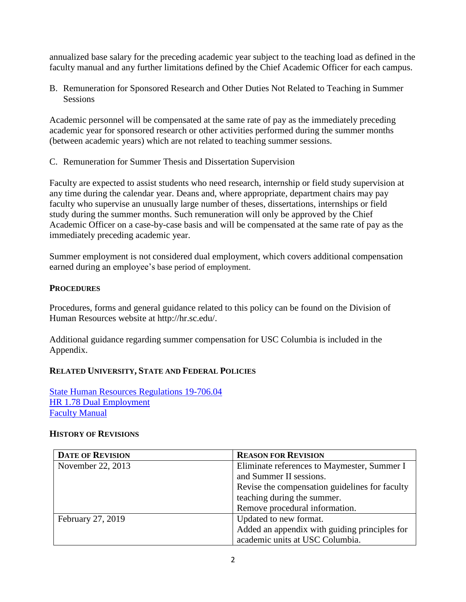annualized base salary for the preceding academic year subject to the teaching load as defined in the faculty manual and any further limitations defined by the Chief Academic Officer for each campus.

B. Remuneration for Sponsored Research and Other Duties Not Related to Teaching in Summer Sessions

Academic personnel will be compensated at the same rate of pay as the immediately preceding academic year for sponsored research or other activities performed during the summer months (between academic years) which are not related to teaching summer sessions.

C. Remuneration for Summer Thesis and Dissertation Supervision

Faculty are expected to assist students who need research, internship or field study supervision at any time during the calendar year. Deans and, where appropriate, department chairs may pay faculty who supervise an unusually large number of theses, dissertations, internships or field study during the summer months. Such remuneration will only be approved by the Chief Academic Officer on a case-by-case basis and will be compensated at the same rate of pay as the immediately preceding academic year.

Summer employment is not considered dual employment, which covers additional compensation earned during an employee's base period of employment.

## **PROCEDURES**

Procedures, forms and general guidance related to this policy can be found on the Division of Human Resources website [at http://hr.sc.edu/.](http://hr.sc.edu/)

Additional guidance regarding summer compensation for USC Columbia is included in the Appendix.

# **RELATED UNIVERSITY, STATE AND FEDERAL POLICIES**

[State Human Resources Regulations 19-706.04](https://admin.sc.gov/files/2016%20HR%20Regulations-Combined%20Website%20Version.pdf) [HR 1.78 Dual Employment](http://www.sc.edu/policies/ppm/hr178.pdf) [Faculty Manual](http://www.sc.edu/policies/facman/Faculty_Manual_Columbia.pdf)

## **HISTORY OF REVISIONS**

| <b>DATE OF REVISION</b> | <b>REASON FOR REVISION</b>                     |
|-------------------------|------------------------------------------------|
| November 22, 2013       | Eliminate references to Maymester, Summer I    |
|                         | and Summer II sessions.                        |
|                         | Revise the compensation guidelines for faculty |
|                         | teaching during the summer.                    |
|                         | Remove procedural information.                 |
| February 27, 2019       | Updated to new format.                         |
|                         | Added an appendix with guiding principles for  |
|                         | academic units at USC Columbia.                |